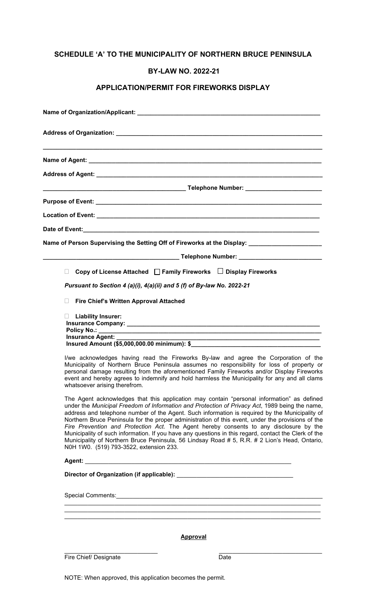### **SCHEDULE 'A' TO THE MUNICIPALITY OF NORTHERN BRUCE PENINSULA**

#### **BY-LAW NO. 2022-21**

### **APPLICATION/PERMIT FOR FIREWORKS DISPLAY**

| Name of Person Supervising the Setting Off of Fireworks at the Display: _____________________                                                                                                                                                                                                                                                                                                                                                                                                                                                                                                                                                                                                                                                                                                                                                                                                                                                                                                                                                                                                                                                                                                                                   |
|---------------------------------------------------------------------------------------------------------------------------------------------------------------------------------------------------------------------------------------------------------------------------------------------------------------------------------------------------------------------------------------------------------------------------------------------------------------------------------------------------------------------------------------------------------------------------------------------------------------------------------------------------------------------------------------------------------------------------------------------------------------------------------------------------------------------------------------------------------------------------------------------------------------------------------------------------------------------------------------------------------------------------------------------------------------------------------------------------------------------------------------------------------------------------------------------------------------------------------|
|                                                                                                                                                                                                                                                                                                                                                                                                                                                                                                                                                                                                                                                                                                                                                                                                                                                                                                                                                                                                                                                                                                                                                                                                                                 |
| Copy of License Attached □ Family Fireworks □ Display Fireworks<br>П.                                                                                                                                                                                                                                                                                                                                                                                                                                                                                                                                                                                                                                                                                                                                                                                                                                                                                                                                                                                                                                                                                                                                                           |
| Pursuant to Section 4 (a)(i), 4(a)(ii) and 5 (f) of By-law No. 2022-21                                                                                                                                                                                                                                                                                                                                                                                                                                                                                                                                                                                                                                                                                                                                                                                                                                                                                                                                                                                                                                                                                                                                                          |
| <b>Fire Chief's Written Approval Attached</b><br>$\Box$                                                                                                                                                                                                                                                                                                                                                                                                                                                                                                                                                                                                                                                                                                                                                                                                                                                                                                                                                                                                                                                                                                                                                                         |
| $\Box$ Liability Insurer:<br><b>Insurance Agent:</b><br>I/we acknowledges having read the Fireworks By-law and agree the Corporation of the<br>Municipality of Northern Bruce Peninsula assumes no responsibility for loss of property or<br>personal damage resulting from the aforementioned Family Fireworks and/or Display Fireworks<br>event and hereby agrees to indemnify and hold harmless the Municipality for any and all clams<br>whatsoever arising therefrom.<br>The Agent acknowledges that this application may contain "personal information" as defined<br>under the Municipal Freedom of Information and Protection of Privacy Act, 1989 being the name,<br>address and telephone number of the Agent. Such information is required by the Municipality of<br>Northern Bruce Peninsula for the proper administration of this event, under the provisions of the<br>Fire Prevention and Protection Act. The Agent hereby consents to any disclosure by the<br>Municipality of such information. If you have any questions in this regard, contact the Clerk of the<br>Municipality of Northern Bruce Peninsula, 56 Lindsay Road # 5, R.R. # 2 Lion's Head, Ontario,<br>N0H 1W0. (519) 793-3522, extension 233. |
|                                                                                                                                                                                                                                                                                                                                                                                                                                                                                                                                                                                                                                                                                                                                                                                                                                                                                                                                                                                                                                                                                                                                                                                                                                 |
| <b>Approval</b>                                                                                                                                                                                                                                                                                                                                                                                                                                                                                                                                                                                                                                                                                                                                                                                                                                                                                                                                                                                                                                                                                                                                                                                                                 |
| Fire Chief/ Designate<br>Date                                                                                                                                                                                                                                                                                                                                                                                                                                                                                                                                                                                                                                                                                                                                                                                                                                                                                                                                                                                                                                                                                                                                                                                                   |
|                                                                                                                                                                                                                                                                                                                                                                                                                                                                                                                                                                                                                                                                                                                                                                                                                                                                                                                                                                                                                                                                                                                                                                                                                                 |

NOTE: When approved, this application becomes the permit.